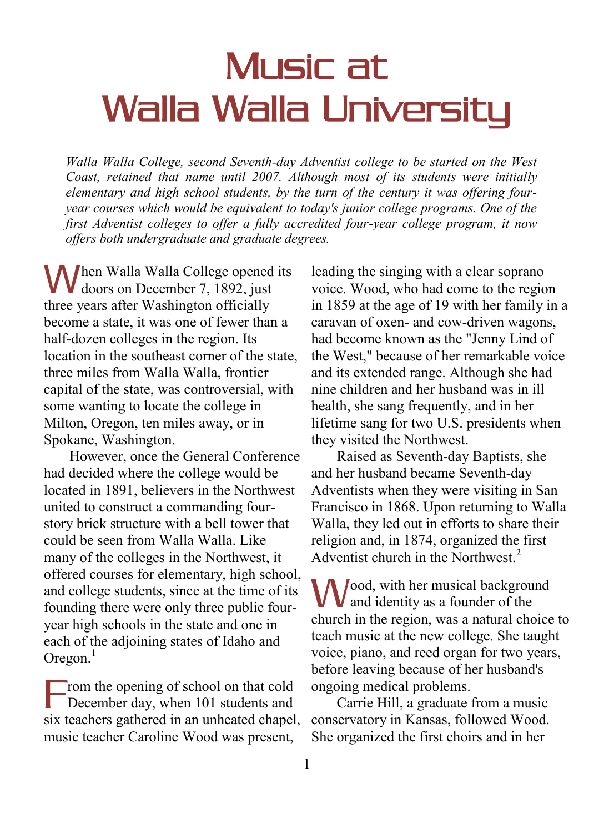## Music at Walla Walla University

*Walla Walla College, second Seventh-day Adventist college to be started on the West Coast, retained that name until 2007. Although most of its students were initially elementary and high school students, by the turn of the century it was offering fouryear courses which would be equivalent to today's junior college programs. One of the first Adventist colleges to offer a fully accredited four-year college program, it now offers both undergraduate and graduate degrees.*

**M**hen Walla Walla College opened its<br>doors on December 7, 1892, just **V** doors on December 7, 1892, just three years after Washington officially become a state, it was one of fewer than a half-dozen colleges in the region. Its location in the southeast corner of the state, three miles from Walla Walla, frontier capital of the state, was controversial, with some wanting to locate the college in Milton, Oregon, ten miles away, or in Spokane, Washington.

 However, once the General Conference had decided where the college would be located in 1891, believers in the Northwest united to construct a commanding fourstory brick structure with a bell tower that could be seen from Walla Walla. Like many of the colleges in the Northwest, it offered courses for elementary, high school, and college students, since at the time of its founding there were only three public fouryear high schools in the state and one in each of the adjoining states of Idaho and Oregon. $<sup>1</sup>$ </sup>

rom the opening of school on that cold December day, when 101 students and six teachers gathered in an unheated chapel, music teacher Caroline Wood was present, F

leading the singing with a clear soprano voice. Wood, who had come to the region in 1859 at the age of 19 with her family in a caravan of oxen- and cow-driven wagons, had become known as the "Jenny Lind of the West," because of her remarkable voice and its extended range. Although she had nine children and her husband was in ill health, she sang frequently, and in her lifetime sang for two U.S. presidents when they visited the Northwest.

 Raised as Seventh-day Baptists, she and her husband became Seventh-day Adventists when they were visiting in San Francisco in 1868. Upon returning to Walla Walla, they led out in efforts to share their religion and, in 1874, organized the first Adventist church in the Northwest.<sup>2</sup>

**W**ood, with her musical background<br>and identity as a founder of the  $\bf{V}$  and identity as a founder of the church in the region, was a natural choice to teach music at the new college. She taught voice, piano, and reed organ for two years, before leaving because of her husband's ongoing medical problems.

 Carrie Hill, a graduate from a music conservatory in Kansas, followed Wood. She organized the first choirs and in her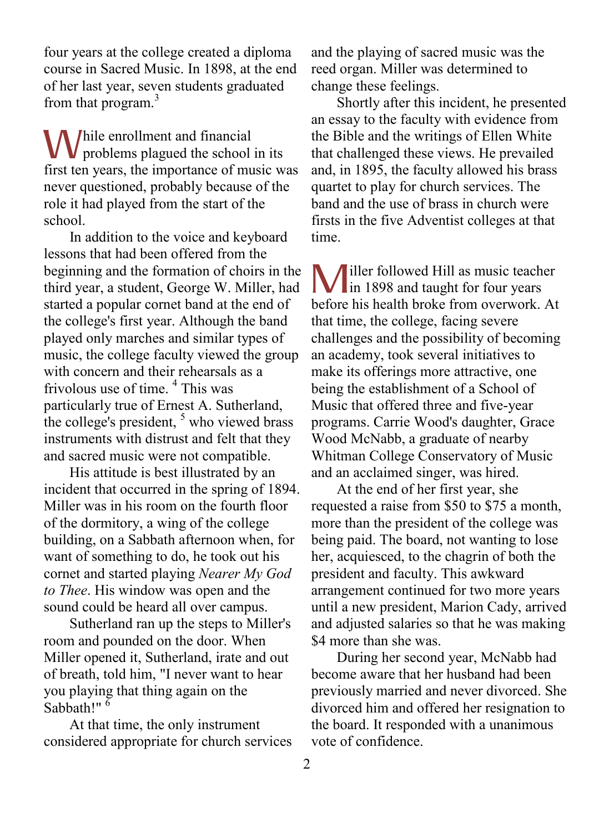four years at the college created a diploma course in Sacred Music. In 1898, at the end of her last year, seven students graduated from that program.<sup>3</sup>

hile enrollment and financial While enrollment and financial<br>problems plagued the school in its first ten years, the importance of music was never questioned, probably because of the role it had played from the start of the school.

 In addition to the voice and keyboard lessons that had been offered from the beginning and the formation of choirs in the third year, a student, George W. Miller, had started a popular cornet band at the end of the college's first year. Although the band played only marches and similar types of music, the college faculty viewed the group with concern and their rehearsals as a frivolous use of time. <sup>4</sup> This was particularly true of Ernest A. Sutherland, the college's president,  $5$  who viewed brass instruments with distrust and felt that they and sacred music were not compatible.

 His attitude is best illustrated by an incident that occurred in the spring of 1894. Miller was in his room on the fourth floor of the dormitory, a wing of the college building, on a Sabbath afternoon when, for want of something to do, he took out his cornet and started playing *Nearer My God to Thee*. His window was open and the sound could be heard all over campus.

 Sutherland ran up the steps to Miller's room and pounded on the door. When Miller opened it, Sutherland, irate and out of breath, told him, "I never want to hear you playing that thing again on the Sabbath!" $\frac{6}{6}$ 

 At that time, the only instrument considered appropriate for church services and the playing of sacred music was the reed organ. Miller was determined to change these feelings.

 Shortly after this incident, he presented an essay to the faculty with evidence from the Bible and the writings of Ellen White that challenged these views. He prevailed and, in 1895, the faculty allowed his brass quartet to play for church services. The band and the use of brass in church were firsts in the five Adventist colleges at that time.

iller followed Hill as music teacher **M** iller followed Hill as music teachers in 1898 and taught for four years before his health broke from overwork. At that time, the college, facing severe challenges and the possibility of becoming an academy, took several initiatives to make its offerings more attractive, one being the establishment of a School of Music that offered three and five-year programs. Carrie Wood's daughter, Grace Wood McNabb, a graduate of nearby Whitman College Conservatory of Music and an acclaimed singer, was hired.

 At the end of her first year, she requested a raise from \$50 to \$75 a month, more than the president of the college was being paid. The board, not wanting to lose her, acquiesced, to the chagrin of both the president and faculty. This awkward arrangement continued for two more years until a new president, Marion Cady, arrived and adjusted salaries so that he was making \$4 more than she was.

 During her second year, McNabb had become aware that her husband had been previously married and never divorced. She divorced him and offered her resignation to the board. It responded with a unanimous vote of confidence.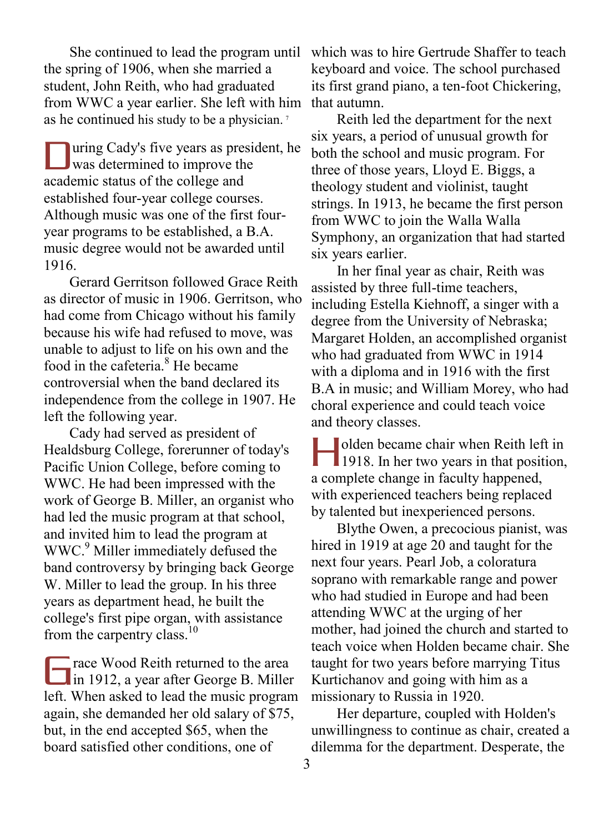She continued to lead the program until the spring of 1906, when she married a student, John Reith, who had graduated from WWC a year earlier. She left with him as he continued his study to be a physician. <sup>7</sup>

uring Cady's five years as president, he Ultimary Cady's five years as president and the improvement of the state of the state of the state of the state of the state of the state of the state of the state of the state of the state of the state of the state of the academic status of the college and established four-year college courses. Although music was one of the first fouryear programs to be established, a B.A. music degree would not be awarded until 1916.

 Gerard Gerritson followed Grace Reith as director of music in 1906. Gerritson, who had come from Chicago without his family because his wife had refused to move, was unable to adjust to life on his own and the food in the cafeteria.<sup>8</sup> He became controversial when the band declared its independence from the college in 1907. He left the following year.

 Cady had served as president of Healdsburg College, forerunner of today's Pacific Union College, before coming to WWC. He had been impressed with the work of George B. Miller, an organist who had led the music program at that school, and invited him to lead the program at WWC.<sup>9</sup> Miller immediately defused the band controversy by bringing back George W. Miller to lead the group. In his three years as department head, he built the college's first pipe organ, with assistance from the carpentry class.<sup>10</sup>

race Wood Reith returned to the area Trace Wood Reith returned to the area<br>in 1912, a year after George B. Miller left. When asked to lead the music program again, she demanded her old salary of \$75, but, in the end accepted \$65, when the board satisfied other conditions, one of

which was to hire Gertrude Shaffer to teach keyboard and voice. The school purchased its first grand piano, a ten-foot Chickering, that autumn.

 Reith led the department for the next six years, a period of unusual growth for both the school and music program. For three of those years, Lloyd E. Biggs, a theology student and violinist, taught strings. In 1913, he became the first person from WWC to join the Walla Walla Symphony, an organization that had started six years earlier.

 In her final year as chair, Reith was assisted by three full-time teachers, including Estella Kiehnoff, a singer with a degree from the University of Nebraska; Margaret Holden, an accomplished organist who had graduated from WWC in 1914 with a diploma and in 1916 with the first B.A in music; and William Morey, who had choral experience and could teach voice and theory classes.

olden became chair when Reith left in In determine that when Reith left in<br>
1918. In her two years in that position, a complete change in faculty happened, with experienced teachers being replaced by talented but inexperienced persons.

 Blythe Owen, a precocious pianist, was hired in 1919 at age 20 and taught for the next four years. Pearl Job, a coloratura soprano with remarkable range and power who had studied in Europe and had been attending WWC at the urging of her mother, had joined the church and started to teach voice when Holden became chair. She taught for two years before marrying Titus Kurtichanov and going with him as a missionary to Russia in 1920.

 Her departure, coupled with Holden's unwillingness to continue as chair, created a dilemma for the department. Desperate, the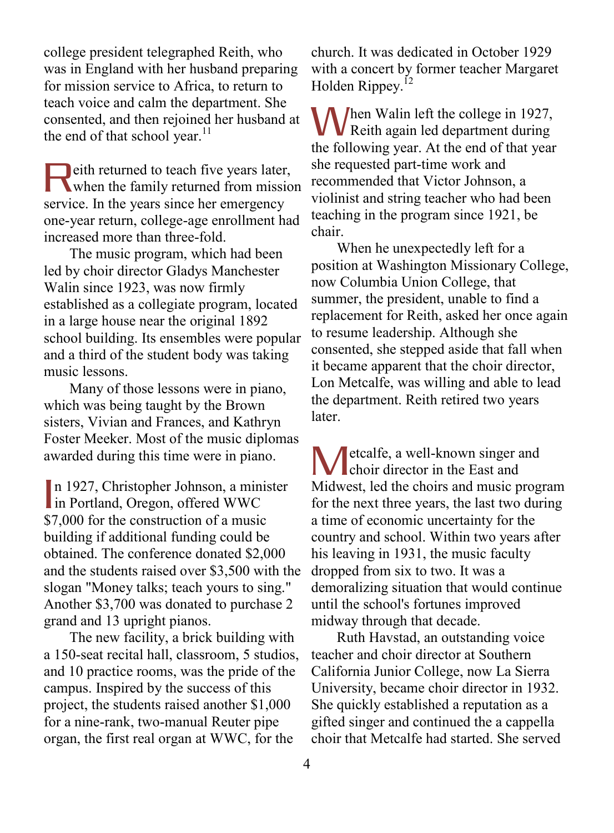college president telegraphed Reith, who was in England with her husband preparing for mission service to Africa, to return to teach voice and calm the department. She consented, and then rejoined her husband at the end of that school year. $^{11}$ 

eith returned to teach five years later, **Reith returned to teach five years later,**<br>when the family returned from mission service. In the years since her emergency one-year return, college-age enrollment had increased more than three-fold.

 The music program, which had been led by choir director Gladys Manchester Walin since 1923, was now firmly established as a collegiate program, located in a large house near the original 1892 school building. Its ensembles were popular and a third of the student body was taking music lessons.

 Many of those lessons were in piano, which was being taught by the Brown sisters, Vivian and Frances, and Kathryn Foster Meeker. Most of the music diplomas awarded during this time were in piano.

n 1927, Christopher Johnson, a minister In 1927, Christopher Johnson, a min<br>in Portland, Oregon, offered WWC \$7,000 for the construction of a music building if additional funding could be obtained. The conference donated \$2,000 and the students raised over \$3,500 with the slogan "Money talks; teach yours to sing." Another \$3,700 was donated to purchase 2 grand and 13 upright pianos.

 The new facility, a brick building with a 150-seat recital hall, classroom, 5 studios, and 10 practice rooms, was the pride of the campus. Inspired by the success of this project, the students raised another \$1,000 for a nine-rank, two-manual Reuter pipe organ, the first real organ at WWC, for the

church. It was dedicated in October 1929 with a concert by former teacher Margaret Holden Rippey.<sup>12</sup>

When Walin left the college in 1927,<br>
Reith again led department during **V** Reith again led department during the following year. At the end of that year she requested part-time work and recommended that Victor Johnson, a violinist and string teacher who had been teaching in the program since 1921, be chair.

 When he unexpectedly left for a position at Washington Missionary College, now Columbia Union College, that summer, the president, unable to find a replacement for Reith, asked her once again to resume leadership. Although she consented, she stepped aside that fall when it became apparent that the choir director, Lon Metcalfe, was willing and able to lead the department. Reith retired two years later.

etcalfe, a well-known singer and Metcalfe, a well-known singer a<br>choir director in the East and Midwest, led the choirs and music program for the next three years, the last two during a time of economic uncertainty for the country and school. Within two years after his leaving in 1931, the music faculty dropped from six to two. It was a demoralizing situation that would continue until the school's fortunes improved midway through that decade.

 Ruth Havstad, an outstanding voice teacher and choir director at Southern California Junior College, now La Sierra University, became choir director in 1932. She quickly established a reputation as a gifted singer and continued the a cappella choir that Metcalfe had started. She served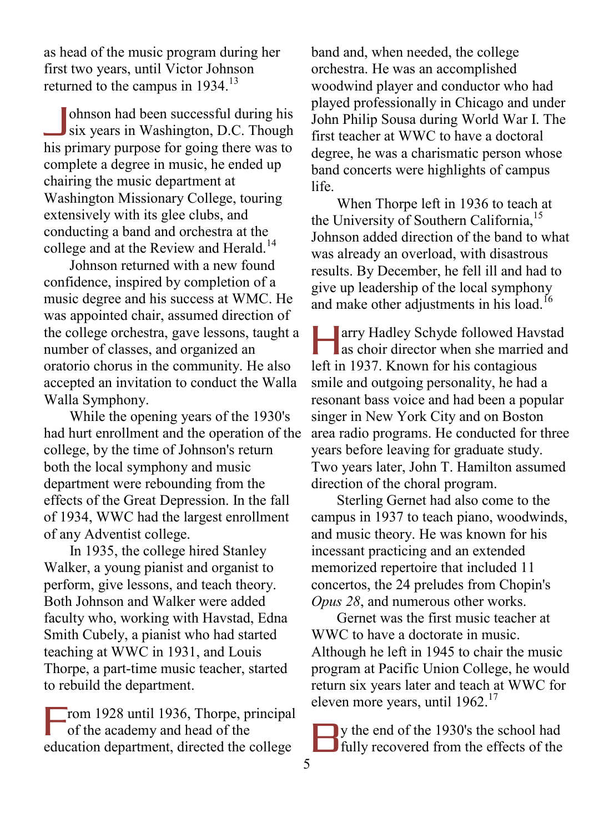as head of the music program during her first two years, until Victor Johnson returned to the campus in 1934.<sup>13</sup>

ohnson had been successful during his six years in Washington, D.C. Though his primary purpose for going there was to complete a degree in music, he ended up chairing the music department at Washington Missionary College, touring extensively with its glee clubs, and conducting a band and orchestra at the college and at the Review and Herald.<sup>14</sup>  $\overline{\mathsf{I}}$ 

 Johnson returned with a new found confidence, inspired by completion of a music degree and his success at WMC. He was appointed chair, assumed direction of the college orchestra, gave lessons, taught a number of classes, and organized an oratorio chorus in the community. He also accepted an invitation to conduct the Walla Walla Symphony.

 While the opening years of the 1930's had hurt enrollment and the operation of the college, by the time of Johnson's return both the local symphony and music department were rebounding from the effects of the Great Depression. In the fall of 1934, WWC had the largest enrollment of any Adventist college.

 In 1935, the college hired Stanley Walker, a young pianist and organist to perform, give lessons, and teach theory. Both Johnson and Walker were added faculty who, working with Havstad, Edna Smith Cubely, a pianist who had started teaching at WWC in 1931, and Louis Thorpe, a part-time music teacher, started to rebuild the department.

rom 1928 until 1936, Thorpe, principal of the academy and head of the education department, directed the college F

band and, when needed, the college orchestra. He was an accomplished woodwind player and conductor who had played professionally in Chicago and under John Philip Sousa during World War I. The first teacher at WWC to have a doctoral degree, he was a charismatic person whose band concerts were highlights of campus life.

 When Thorpe left in 1936 to teach at the University of Southern California,<sup>15</sup> Johnson added direction of the band to what was already an overload, with disastrous results. By December, he fell ill and had to give up leadership of the local symphony and make other adjustments in his load.<sup>16</sup>

**Tarry Hadley Schyde followed Havstad** as choir director when she married and left in 1937. Known for his contagious smile and outgoing personality, he had a resonant bass voice and had been a popular singer in New York City and on Boston area radio programs. He conducted for three years before leaving for graduate study. Two years later, John T. Hamilton assumed direction of the choral program.  $\prod_{\alpha\in\mathbb{Z}}$ 

 Sterling Gernet had also come to the campus in 1937 to teach piano, woodwinds, and music theory. He was known for his incessant practicing and an extended memorized repertoire that included 11 concertos, the 24 preludes from Chopin's *Opus 28*, and numerous other works.

 Gernet was the first music teacher at WWC to have a doctorate in music. Although he left in 1945 to chair the music program at Pacific Union College, he would return six years later and teach at WWC for eleven more years, until 1962.<sup>17</sup>

y the end of the 1930's the school had **Fully** recovered from the effects of the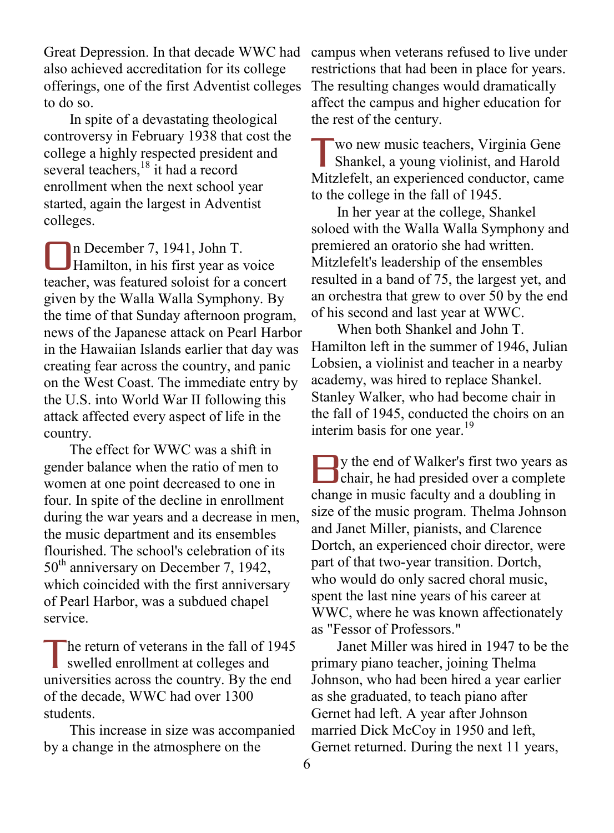Great Depression. In that decade WWC had also achieved accreditation for its college offerings, one of the first Adventist colleges to do so.

 In spite of a devastating theological controversy in February 1938 that cost the college a highly respected president and several teachers,<sup>18</sup> it had a record enrollment when the next school year started, again the largest in Adventist colleges.

n December 7, 1941, John T. Hamilton, in his first year as voice teacher, was featured soloist for a concert given by the Walla Walla Symphony. By the time of that Sunday afternoon program, news of the Japanese attack on Pearl Harbor in the Hawaiian Islands earlier that day was creating fear across the country, and panic on the West Coast. The immediate entry by the U.S. into World War II following this attack affected every aspect of life in the country. O

 The effect for WWC was a shift in gender balance when the ratio of men to women at one point decreased to one in four. In spite of the decline in enrollment during the war years and a decrease in men, the music department and its ensembles flourished. The school's celebration of its 50<sup>th</sup> anniversary on December 7, 1942, which coincided with the first anniversary of Pearl Harbor, was a subdued chapel service.

he return of veterans in the fall of 1945 swelled enrollment at colleges and universities across the country. By the end of the decade, WWC had over 1300 students. T

 This increase in size was accompanied by a change in the atmosphere on the

campus when veterans refused to live under restrictions that had been in place for years. The resulting changes would dramatically affect the campus and higher education for the rest of the century.

wo new music teachers, Virginia Gene Shankel, a young violinist, and Harold Mitzlefelt, an experienced conductor, came to the college in the fall of 1945. T

 In her year at the college, Shankel soloed with the Walla Walla Symphony and premiered an oratorio she had written. Mitzlefelt's leadership of the ensembles resulted in a band of 75, the largest yet, and an orchestra that grew to over 50 by the end of his second and last year at WWC.

 When both Shankel and John T. Hamilton left in the summer of 1946, Julian Lobsien, a violinist and teacher in a nearby academy, was hired to replace Shankel. Stanley Walker, who had become chair in the fall of 1945, conducted the choirs on an interim basis for one year. $19$ 

y the end of Walker's first two years as start we get the end of Walker's first two years as chair, he had presided over a complete change in music faculty and a doubling in size of the music program. Thelma Johnson and Janet Miller, pianists, and Clarence Dortch, an experienced choir director, were part of that two-year transition. Dortch, who would do only sacred choral music, spent the last nine years of his career at WWC, where he was known affectionately as "Fessor of Professors."

 Janet Miller was hired in 1947 to be the primary piano teacher, joining Thelma Johnson, who had been hired a year earlier as she graduated, to teach piano after Gernet had left. A year after Johnson married Dick McCoy in 1950 and left, Gernet returned. During the next 11 years,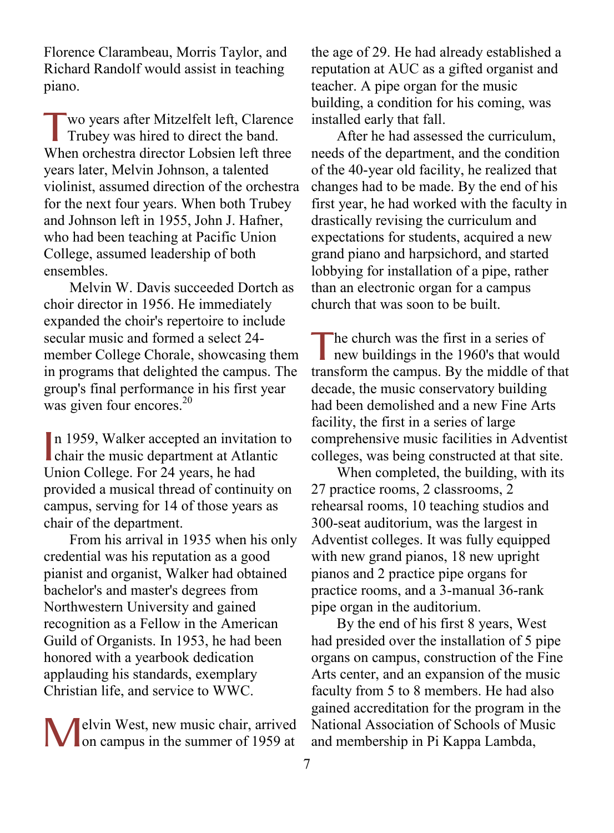Florence Clarambeau, Morris Taylor, and Richard Randolf would assist in teaching piano.

wo years after Mitzelfelt left, Clarence Trubey was hired to direct the band. When orchestra director Lobsien left three years later, Melvin Johnson, a talented violinist, assumed direction of the orchestra for the next four years. When both Trubey and Johnson left in 1955, John J. Hafner, who had been teaching at Pacific Union College, assumed leadership of both ensembles. T

 Melvin W. Davis succeeded Dortch as choir director in 1956. He immediately expanded the choir's repertoire to include secular music and formed a select 24 member College Chorale, showcasing them in programs that delighted the campus. The group's final performance in his first year was given four encores.<sup>20</sup>

n 1959, Walker accepted an invitation to In 1959, Walker accepted an invitation<br>chair the music department at Atlantic Union College. For 24 years, he had provided a musical thread of continuity on campus, serving for 14 of those years as chair of the department.

 From his arrival in 1935 when his only credential was his reputation as a good pianist and organist, Walker had obtained bachelor's and master's degrees from Northwestern University and gained recognition as a Fellow in the American Guild of Organists. In 1953, he had been honored with a yearbook dedication applauding his standards, exemplary Christian life, and service to WWC.

**M** elvin West, new music chair, arrived on campus in the summer of 1959 at on campus in the summer of 1959 at

the age of 29. He had already established a reputation at AUC as a gifted organist and teacher. A pipe organ for the music building, a condition for his coming, was installed early that fall.

 After he had assessed the curriculum, needs of the department, and the condition of the 40-year old facility, he realized that changes had to be made. By the end of his first year, he had worked with the faculty in drastically revising the curriculum and expectations for students, acquired a new grand piano and harpsichord, and started lobbying for installation of a pipe, rather than an electronic organ for a campus church that was soon to be built.

he church was the first in a series of new buildings in the 1960's that would transform the campus. By the middle of that decade, the music conservatory building had been demolished and a new Fine Arts facility, the first in a series of large comprehensive music facilities in Adventist colleges, was being constructed at that site. T

 When completed, the building, with its 27 practice rooms, 2 classrooms, 2 rehearsal rooms, 10 teaching studios and 300-seat auditorium, was the largest in Adventist colleges. It was fully equipped with new grand pianos, 18 new upright pianos and 2 practice pipe organs for practice rooms, and a 3-manual 36-rank pipe organ in the auditorium.

 By the end of his first 8 years, West had presided over the installation of 5 pipe organs on campus, construction of the Fine Arts center, and an expansion of the music faculty from 5 to 8 members. He had also gained accreditation for the program in the National Association of Schools of Music and membership in Pi Kappa Lambda,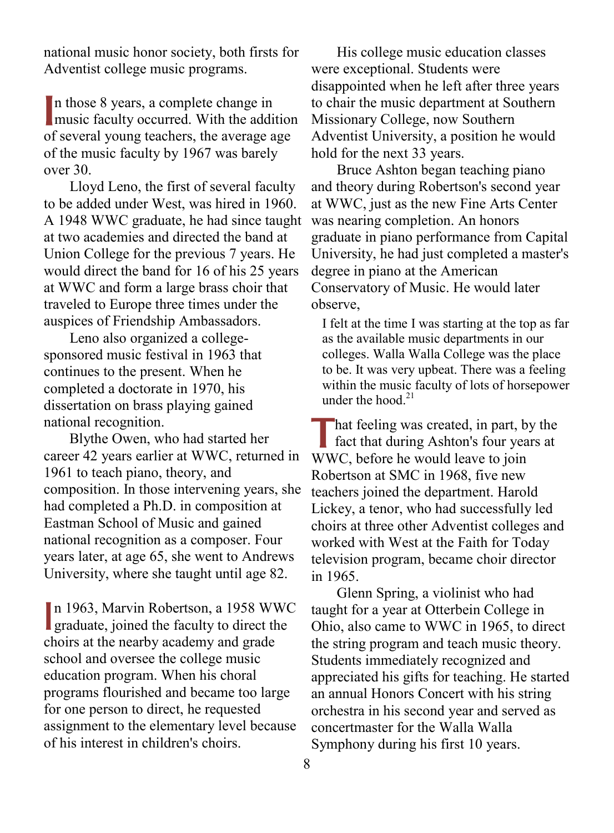national music honor society, both firsts for Adventist college music programs.

n those 8 years, a complete change in In those 8 years, a complete change in<br>
music faculty occurred. With the addition of several young teachers, the average age of the music faculty by 1967 was barely over 30.

 Lloyd Leno, the first of several faculty to be added under West, was hired in 1960. A 1948 WWC graduate, he had since taught at two academies and directed the band at Union College for the previous 7 years. He would direct the band for 16 of his 25 years at WWC and form a large brass choir that traveled to Europe three times under the auspices of Friendship Ambassadors.

 Leno also organized a collegesponsored music festival in 1963 that continues to the present. When he completed a doctorate in 1970, his dissertation on brass playing gained national recognition.

 Blythe Owen, who had started her career 42 years earlier at WWC, returned in 1961 to teach piano, theory, and composition. In those intervening years, she had completed a Ph.D. in composition at Eastman School of Music and gained national recognition as a composer. Four years later, at age 65, she went to Andrews University, where she taught until age 82.

n 1963, Marvin Robertson, a 1958 WWC In 1963, Marvin Robertson, a 1958 WWG<br>graduate, joined the faculty to direct the choirs at the nearby academy and grade school and oversee the college music education program. When his choral programs flourished and became too large for one person to direct, he requested assignment to the elementary level because of his interest in children's choirs.

 His college music education classes were exceptional. Students were disappointed when he left after three years to chair the music department at Southern Missionary College, now Southern Adventist University, a position he would hold for the next 33 years.

 Bruce Ashton began teaching piano and theory during Robertson's second year at WWC, just as the new Fine Arts Center was nearing completion. An honors graduate in piano performance from Capital University, he had just completed a master's degree in piano at the American Conservatory of Music. He would later observe,

I felt at the time I was starting at the top as far as the available music departments in our colleges. Walla Walla College was the place to be. It was very upbeat. There was a feeling within the music faculty of lots of horsepower under the hood  $21$ 

That feeling was created, in part, by the fact that during Ashton's four years at fact that during Ashton's four years at WWC, before he would leave to join Robertson at SMC in 1968, five new teachers joined the department. Harold Lickey, a tenor, who had successfully led choirs at three other Adventist colleges and worked with West at the Faith for Today television program, became choir director in 1965.

 Glenn Spring, a violinist who had taught for a year at Otterbein College in Ohio, also came to WWC in 1965, to direct the string program and teach music theory. Students immediately recognized and appreciated his gifts for teaching. He started an annual Honors Concert with his string orchestra in his second year and served as concertmaster for the Walla Walla Symphony during his first 10 years.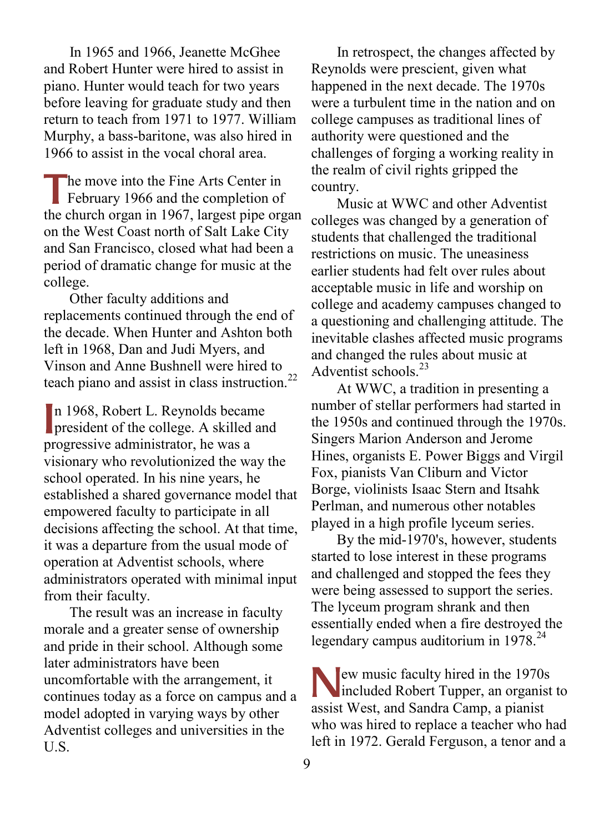In 1965 and 1966, Jeanette McGhee and Robert Hunter were hired to assist in piano. Hunter would teach for two years before leaving for graduate study and then return to teach from 1971 to 1977. William Murphy, a bass-baritone, was also hired in 1966 to assist in the vocal choral area.

he move into the Fine Arts Center in The move into the Fine Arts Center in<br>February 1966 and the completion of the church organ in 1967, largest pipe organ on the West Coast north of Salt Lake City and San Francisco, closed what had been a period of dramatic change for music at the college.

 Other faculty additions and replacements continued through the end of the decade. When Hunter and Ashton both left in 1968, Dan and Judi Myers, and Vinson and Anne Bushnell were hired to teach piano and assist in class instruction.<sup>22</sup>

n 1968, Robert L. Reynolds became n 1968, Robert L. Reynolds became<br>president of the college. A skilled and progressive administrator, he was a visionary who revolutionized the way the school operated. In his nine years, he established a shared governance model that empowered faculty to participate in all decisions affecting the school. At that time, it was a departure from the usual mode of operation at Adventist schools, where administrators operated with minimal input from their faculty.

 The result was an increase in faculty morale and a greater sense of ownership and pride in their school. Although some later administrators have been uncomfortable with the arrangement, it continues today as a force on campus and a model adopted in varying ways by other Adventist colleges and universities in the U.S.

 In retrospect, the changes affected by Reynolds were prescient, given what happened in the next decade. The 1970s were a turbulent time in the nation and on college campuses as traditional lines of authority were questioned and the challenges of forging a working reality in the realm of civil rights gripped the country.

 Music at WWC and other Adventist colleges was changed by a generation of students that challenged the traditional restrictions on music. The uneasiness earlier students had felt over rules about acceptable music in life and worship on college and academy campuses changed to a questioning and challenging attitude. The inevitable clashes affected music programs and changed the rules about music at Adventist schools. $^{23}$ 

 At WWC, a tradition in presenting a number of stellar performers had started in the 1950s and continued through the 1970s. Singers Marion Anderson and Jerome Hines, organists E. Power Biggs and Virgil Fox, pianists Van Cliburn and Victor Borge, violinists Isaac Stern and Itsahk Perlman, and numerous other notables played in a high profile lyceum series.

 By the mid-1970's, however, students started to lose interest in these programs and challenged and stopped the fees they were being assessed to support the series. The lyceum program shrank and then essentially ended when a fire destroyed the legendary campus auditorium in  $1978.<sup>24</sup>$ 

ew music faculty hired in the 1970s<br>
included Robert Tupper, an organist included Robert Tupper, an organist to assist West, and Sandra Camp, a pianist who was hired to replace a teacher who had left in 1972. Gerald Ferguson, a tenor and a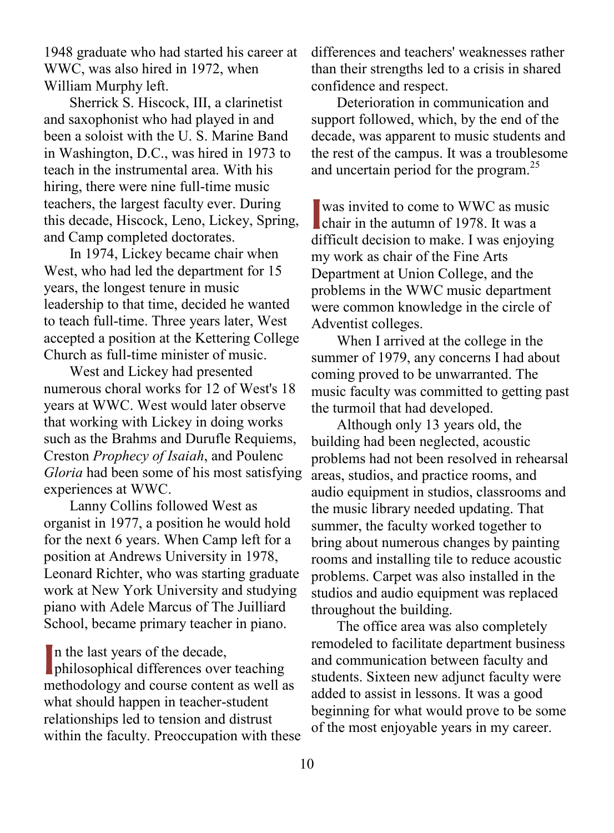1948 graduate who had started his career at WWC, was also hired in 1972, when William Murphy left.

 Sherrick S. Hiscock, III, a clarinetist and saxophonist who had played in and been a soloist with the U. S. Marine Band in Washington, D.C., was hired in 1973 to teach in the instrumental area. With his hiring, there were nine full-time music teachers, the largest faculty ever. During this decade, Hiscock, Leno, Lickey, Spring, and Camp completed doctorates.

 In 1974, Lickey became chair when West, who had led the department for 15 years, the longest tenure in music leadership to that time, decided he wanted to teach full-time. Three years later, West accepted a position at the Kettering College Church as full-time minister of music.

 West and Lickey had presented numerous choral works for 12 of West's 18 years at WWC. West would later observe that working with Lickey in doing works such as the Brahms and Durufle Requiems, Creston *Prophecy of Isaiah*, and Poulenc *Gloria* had been some of his most satisfying experiences at WWC.

 Lanny Collins followed West as organist in 1977, a position he would hold for the next 6 years. When Camp left for a position at Andrews University in 1978, Leonard Richter, who was starting graduate work at New York University and studying piano with Adele Marcus of The Juilliard School, became primary teacher in piano.

In the last years of the decade,<br>philosophical differences over philosophical differences over teaching methodology and course content as well as what should happen in teacher-student relationships led to tension and distrust within the faculty. Preoccupation with these differences and teachers' weaknesses rather than their strengths led to a crisis in shared confidence and respect.

 Deterioration in communication and support followed, which, by the end of the decade, was apparent to music students and the rest of the campus. It was a troublesome and uncertain period for the program.<sup>25</sup>

was invited to come to WWC as music was invited to come to WWC as mus<br>chair in the autumn of 1978. It was a difficult decision to make. I was enjoying my work as chair of the Fine Arts Department at Union College, and the problems in the WWC music department were common knowledge in the circle of Adventist colleges.

 When I arrived at the college in the summer of 1979, any concerns I had about coming proved to be unwarranted. The music faculty was committed to getting past the turmoil that had developed.

 Although only 13 years old, the building had been neglected, acoustic problems had not been resolved in rehearsal areas, studios, and practice rooms, and audio equipment in studios, classrooms and the music library needed updating. That summer, the faculty worked together to bring about numerous changes by painting rooms and installing tile to reduce acoustic problems. Carpet was also installed in the studios and audio equipment was replaced throughout the building.

 The office area was also completely remodeled to facilitate department business and communication between faculty and students. Sixteen new adjunct faculty were added to assist in lessons. It was a good beginning for what would prove to be some of the most enjoyable years in my career.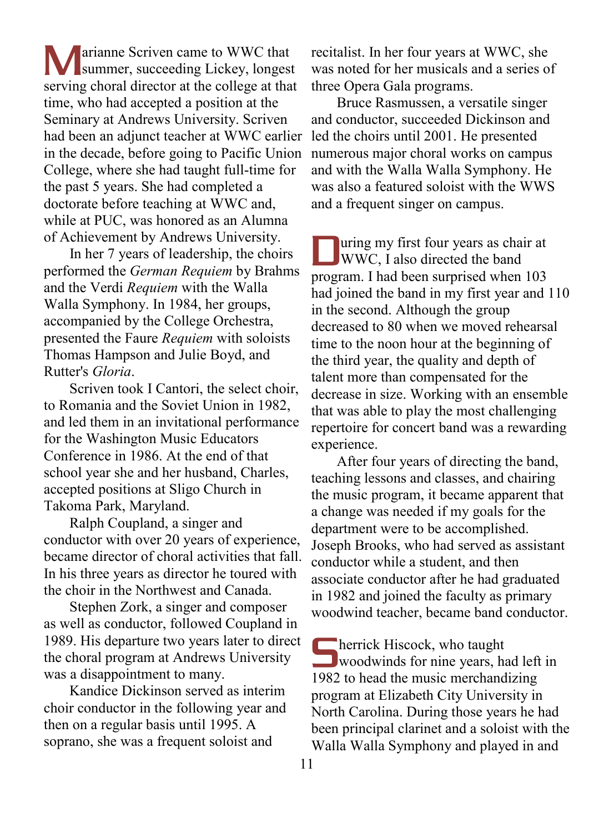**T** arianne Scriven came to WWC that Marianne Scriven came to WWC that<br>summer, succeeding Lickey, longest serving choral director at the college at that time, who had accepted a position at the Seminary at Andrews University. Scriven had been an adjunct teacher at WWC earlier in the decade, before going to Pacific Union College, where she had taught full-time for the past 5 years. She had completed a doctorate before teaching at WWC and, while at PUC, was honored as an Alumna of Achievement by Andrews University.

 In her 7 years of leadership, the choirs performed the *German Requiem* by Brahms and the Verdi *Requiem* with the Walla Walla Symphony. In 1984, her groups, accompanied by the College Orchestra, presented the Faure *Requiem* with soloists Thomas Hampson and Julie Boyd, and Rutter's *Gloria*.

 Scriven took I Cantori, the select choir, to Romania and the Soviet Union in 1982, and led them in an invitational performance for the Washington Music Educators Conference in 1986. At the end of that school year she and her husband, Charles, accepted positions at Sligo Church in Takoma Park, Maryland.

 Ralph Coupland, a singer and conductor with over 20 years of experience, became director of choral activities that fall. In his three years as director he toured with the choir in the Northwest and Canada.

 Stephen Zork, a singer and composer as well as conductor, followed Coupland in 1989. His departure two years later to direct the choral program at Andrews University was a disappointment to many.

 Kandice Dickinson served as interim choir conductor in the following year and then on a regular basis until 1995. A soprano, she was a frequent soloist and

recitalist. In her four years at WWC, she was noted for her musicals and a series of three Opera Gala programs.

 Bruce Rasmussen, a versatile singer and conductor, succeeded Dickinson and led the choirs until 2001. He presented numerous major choral works on campus and with the Walla Walla Symphony. He was also a featured soloist with the WWS and a frequent singer on campus.

uring my first four years as chair at Ultima my first four years as chair<br>WWC, I also directed the band program. I had been surprised when 103 had joined the band in my first year and 110 in the second. Although the group decreased to 80 when we moved rehearsal time to the noon hour at the beginning of the third year, the quality and depth of talent more than compensated for the decrease in size. Working with an ensemble that was able to play the most challenging repertoire for concert band was a rewarding experience.

 After four years of directing the band, teaching lessons and classes, and chairing the music program, it became apparent that a change was needed if my goals for the department were to be accomplished. Joseph Brooks, who had served as assistant conductor while a student, and then associate conductor after he had graduated in 1982 and joined the faculty as primary woodwind teacher, became band conductor.

**herrick Hiscock**, who taught **Solution**<br> **Solution**<br> **Solution**<br> **Solution**<br> **Solution**<br> **Solution**<br> **Solution**<br> **Solution**<br> **Solution**<br> **Solution**<br> **Solution**<br> **Solution**<br> **Solution**<br> **Solution**<br> **Solution**<br> **Solution** 1982 to head the music merchandizing program at Elizabeth City University in North Carolina. During those years he had been principal clarinet and a soloist with the Walla Walla Symphony and played in and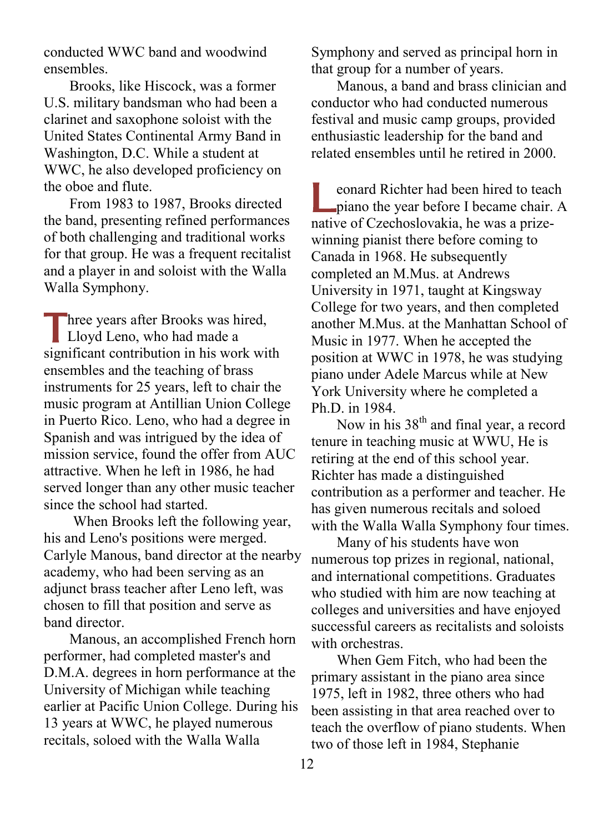conducted WWC band and woodwind ensembles.

 Brooks, like Hiscock, was a former U.S. military bandsman who had been a clarinet and saxophone soloist with the United States Continental Army Band in Washington, D.C. While a student at WWC, he also developed proficiency on the oboe and flute.

 From 1983 to 1987, Brooks directed the band, presenting refined performances of both challenging and traditional works for that group. He was a frequent recitalist and a player in and soloist with the Walla Walla Symphony.

Three years after Brooks was hired,<br>
Lloyd Leno, who had made a **Lloyd Leno**, who had made a significant contribution in his work with ensembles and the teaching of brass instruments for 25 years, left to chair the music program at Antillian Union College in Puerto Rico. Leno, who had a degree in Spanish and was intrigued by the idea of mission service, found the offer from AUC attractive. When he left in 1986, he had served longer than any other music teacher since the school had started.

 When Brooks left the following year, his and Leno's positions were merged. Carlyle Manous, band director at the nearby academy, who had been serving as an adjunct brass teacher after Leno left, was chosen to fill that position and serve as band director.

 Manous, an accomplished French horn performer, had completed master's and D.M.A. degrees in horn performance at the University of Michigan while teaching earlier at Pacific Union College. During his 13 years at WWC, he played numerous recitals, soloed with the Walla Walla

Symphony and served as principal horn in that group for a number of years.

 Manous, a band and brass clinician and conductor who had conducted numerous festival and music camp groups, provided enthusiastic leadership for the band and related ensembles until he retired in 2000.

eonard Richter had been hired to teach eonard Richter had been hired to teach<br>piano the year before I became chair. A native of Czechoslovakia, he was a prizewinning pianist there before coming to Canada in 1968. He subsequently completed an M.Mus. at Andrews University in 1971, taught at Kingsway College for two years, and then completed another M.Mus. at the Manhattan School of Music in 1977. When he accepted the position at WWC in 1978, he was studying piano under Adele Marcus while at New York University where he completed a Ph.D. in 1984.

Now in his  $38<sup>th</sup>$  and final year, a record tenure in teaching music at WWU, He is retiring at the end of this school year. Richter has made a distinguished contribution as a performer and teacher. He has given numerous recitals and soloed with the Walla Walla Symphony four times.

 Many of his students have won numerous top prizes in regional, national, and international competitions. Graduates who studied with him are now teaching at colleges and universities and have enjoyed successful careers as recitalists and soloists with orchestras.

 When Gem Fitch, who had been the primary assistant in the piano area since 1975, left in 1982, three others who had been assisting in that area reached over to teach the overflow of piano students. When two of those left in 1984, Stephanie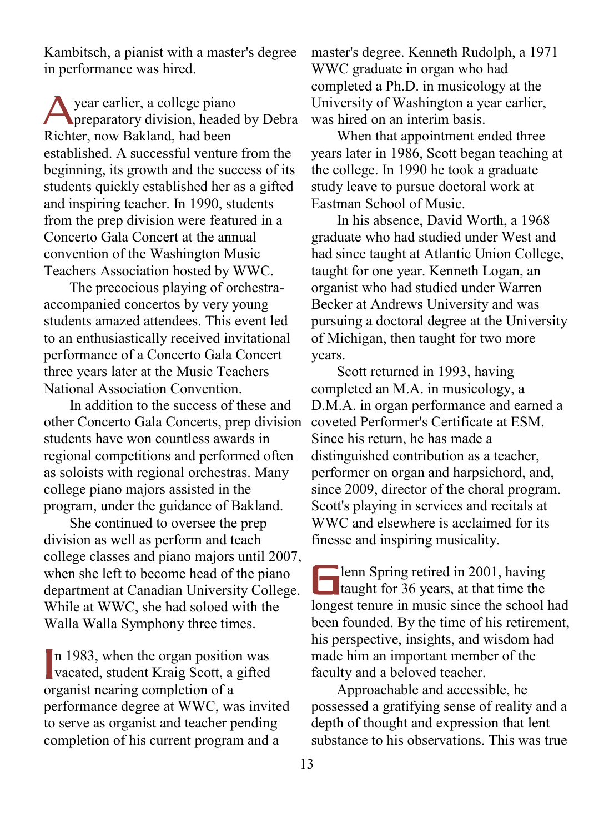Kambitsch, a pianist with a master's degree in performance was hired.

year earlier, a college piano preparatory division, headed by Debra Richter, now Bakland, had been established. A successful venture from the beginning, its growth and the success of its students quickly established her as a gifted and inspiring teacher. In 1990, students from the prep division were featured in a Concerto Gala Concert at the annual convention of the Washington Music Teachers Association hosted by WWC. A

 The precocious playing of orchestraaccompanied concertos by very young students amazed attendees. This event led to an enthusiastically received invitational performance of a Concerto Gala Concert three years later at the Music Teachers National Association Convention.

 In addition to the success of these and other Concerto Gala Concerts, prep division students have won countless awards in regional competitions and performed often as soloists with regional orchestras. Many college piano majors assisted in the program, under the guidance of Bakland.

 She continued to oversee the prep division as well as perform and teach college classes and piano majors until 2007, when she left to become head of the piano department at Canadian University College. While at WWC, she had soloed with the Walla Walla Symphony three times.

In 1983, when the organ position was In 1983, when the organ position was<br>vacated, student Kraig Scott, a gifted organist nearing completion of a performance degree at WWC, was invited to serve as organist and teacher pending completion of his current program and a

master's degree. Kenneth Rudolph, a 1971 WWC graduate in organ who had completed a Ph.D. in musicology at the University of Washington a year earlier, was hired on an interim basis.

 When that appointment ended three years later in 1986, Scott began teaching at the college. In 1990 he took a graduate study leave to pursue doctoral work at Eastman School of Music.

 In his absence, David Worth, a 1968 graduate who had studied under West and had since taught at Atlantic Union College, taught for one year. Kenneth Logan, an organist who had studied under Warren Becker at Andrews University and was pursuing a doctoral degree at the University of Michigan, then taught for two more years.

 Scott returned in 1993, having completed an M.A. in musicology, a D.M.A. in organ performance and earned a coveted Performer's Certificate at ESM. Since his return, he has made a distinguished contribution as a teacher, performer on organ and harpsichord, and, since 2009, director of the choral program. Scott's playing in services and recitals at WWC and elsewhere is acclaimed for its finesse and inspiring musicality.

**lenn Spring retired in 2001, having than Spring retired in 2001**, having<br>taught for 36 years, at that time the longest tenure in music since the school had been founded. By the time of his retirement, his perspective, insights, and wisdom had made him an important member of the faculty and a beloved teacher.

 Approachable and accessible, he possessed a gratifying sense of reality and a depth of thought and expression that lent substance to his observations. This was true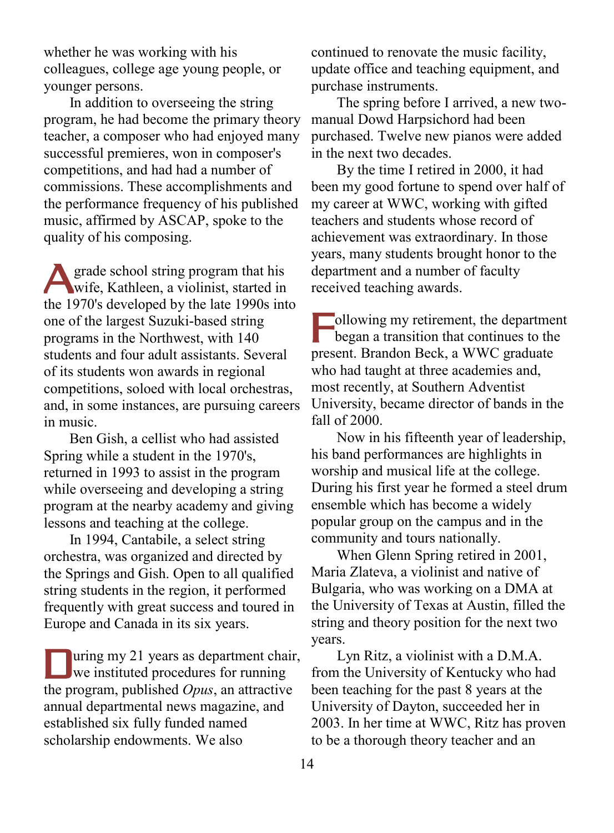whether he was working with his colleagues, college age young people, or younger persons.

 In addition to overseeing the string program, he had become the primary theory teacher, a composer who had enjoyed many successful premieres, won in composer's competitions, and had had a number of commissions. These accomplishments and the performance frequency of his published music, affirmed by ASCAP, spoke to the quality of his composing.

grade school string program that his **Solution** Superior and Superior Superior Superior Superior Superior Superior Superior Superior Superior Superior Superior Superior Superior Superior Superior Superior Superior Superior Superior Superior Superior Superior the 1970's developed by the late 1990s into one of the largest Suzuki-based string programs in the Northwest, with 140 students and four adult assistants. Several of its students won awards in regional competitions, soloed with local orchestras, and, in some instances, are pursuing careers in music.

 Ben Gish, a cellist who had assisted Spring while a student in the 1970's, returned in 1993 to assist in the program while overseeing and developing a string program at the nearby academy and giving lessons and teaching at the college.

 In 1994, Cantabile, a select string orchestra, was organized and directed by the Springs and Gish. Open to all qualified string students in the region, it performed frequently with great success and toured in Europe and Canada in its six years.

uring my 21 years as department chair, uring my 21 years as department cha the program, published *Opus*, an attractive annual departmental news magazine, and established six fully funded named scholarship endowments. We also

continued to renovate the music facility, update office and teaching equipment, and purchase instruments.

 The spring before I arrived, a new twomanual Dowd Harpsichord had been purchased. Twelve new pianos were added in the next two decades.

 By the time I retired in 2000, it had been my good fortune to spend over half of my career at WWC, working with gifted teachers and students whose record of achievement was extraordinary. In those years, many students brought honor to the department and a number of faculty received teaching awards.

ollowing my retirement, the department<br>began a transition that continues to the began a transition that continues to the present. Brandon Beck, a WWC graduate who had taught at three academies and, most recently, at Southern Adventist University, became director of bands in the fall of 2000.

 Now in his fifteenth year of leadership, his band performances are highlights in worship and musical life at the college. During his first year he formed a steel drum ensemble which has become a widely popular group on the campus and in the community and tours nationally.

 When Glenn Spring retired in 2001, Maria Zlateva, a violinist and native of Bulgaria, who was working on a DMA at the University of Texas at Austin, filled the string and theory position for the next two years.

 Lyn Ritz, a violinist with a D.M.A. from the University of Kentucky who had been teaching for the past 8 years at the University of Dayton, succeeded her in 2003. In her time at WWC, Ritz has proven to be a thorough theory teacher and an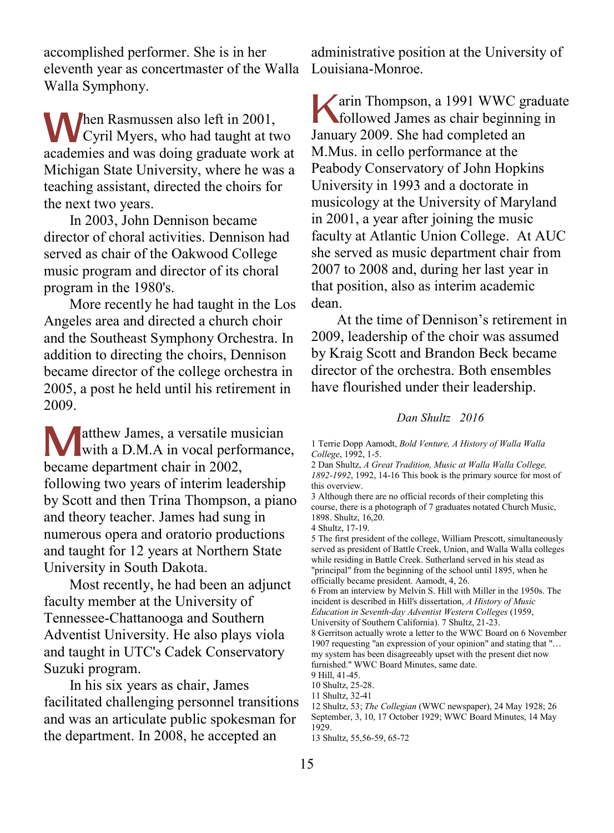accomplished performer. She is in her eleventh year as concertmaster of the Walla Walla Symphony.

hen Rasmussen also left in 2001, **M**en Rasmussen also left in 2001,<br>Cyril Myers, who had taught at two academies and was doing graduate work at Michigan State University, where he was a teaching assistant, directed the choirs for the next two years.

 In 2003, John Dennison became director of choral activities. Dennison had served as chair of the Oakwood College music program and director of its choral program in the 1980's.

 More recently he had taught in the Los Angeles area and directed a church choir and the Southeast Symphony Orchestra. In addition to directing the choirs, Dennison became director of the college orchestra in 2005, a post he held until his retirement in 2009.

atthew James, a versatile musician **Matthew James, a versatile musician<br>with a D.M.A in vocal performance,** became department chair in 2002, following two years of interim leadership by Scott and then Trina Thompson, a piano and theory teacher. James had sung in numerous opera and oratorio productions and taught for 12 years at Northern State University in South Dakota.

 Most recently, he had been an adjunct faculty member at the University of Tennessee-Chattanooga and Southern Adventist University. He also plays viola and taught in UTC's Cadek Conservatory Suzuki program.

 In his six years as chair, James facilitated challenging personnel transitions and was an articulate public spokesman for the department. In 2008, he accepted an

administrative position at the University of Louisiana-Monroe.

arin Thompson, a 1991 WWC graduate **K**arin Thompson, a 1991 WWC gradua<br>followed James as chair beginning in January 2009. She had completed an M.Mus. in cello performance at the Peabody Conservatory of John Hopkins University in 1993 and a doctorate in musicology at the University of Maryland in 2001, a year after joining the music faculty at Atlantic Union College. At AUC she served as music department chair from 2007 to 2008 and, during her last year in that position, also as interim academic dean.

 At the time of Dennison's retirement in 2009, leadership of the choir was assumed by Kraig Scott and Brandon Beck became director of the orchestra. Both ensembles have flourished under their leadership.

## *Dan Shultz 2016*

6 From an interview by Melvin S. Hill with Miller in the 1950s. The incident is described in Hill's dissertation, *A History of Music Education in Seventh-day Adventist Western Colleges* (1959,

8 Gerritson actually wrote a letter to the WWC Board on 6 November 1907 requesting "an expression of your opinion" and stating that "… my system has been disagreeably upset with the present diet now

<sup>1</sup> Terrie Dopp Aamodt, *Bold Venture, A History of Walla Walla College*, 1992, 1-5.

<sup>2</sup> Dan Shultz, *A Great Tradition, Music at Walla Walla College, 1892-1992*, 1992, 14-16 This book is the primary source for most of this overview.

<sup>3</sup> Although there are no official records of their completing this course, there is a photograph of 7 graduates notated Church Music, 1898. Shultz, 16,20.

<sup>4</sup> Shultz, 17-19.

<sup>5</sup> The first president of the college, William Prescott, simultaneously served as president of Battle Creek, Union, and Walla Walla colleges while residing in Battle Creek. Sutherland served in his stead as "principal" from the beginning of the school until 1895, when he officially became president. Aamodt, 4, 26.

University of Southern California). 7 Shultz, 21-23.

furnished." WWC Board Minutes, same date.

<sup>9</sup> Hill, 41-45.

<sup>10</sup> Shultz, 25-28. 11 Shultz, 32-41

<sup>12</sup> Shultz, 53; *The Collegian* (WWC newspaper), 24 May 1928; 26 September, 3, 10, 17 October 1929; WWC Board Minutes, 14 May 1929.

<sup>13</sup> Shultz, 55,56-59, 65-72